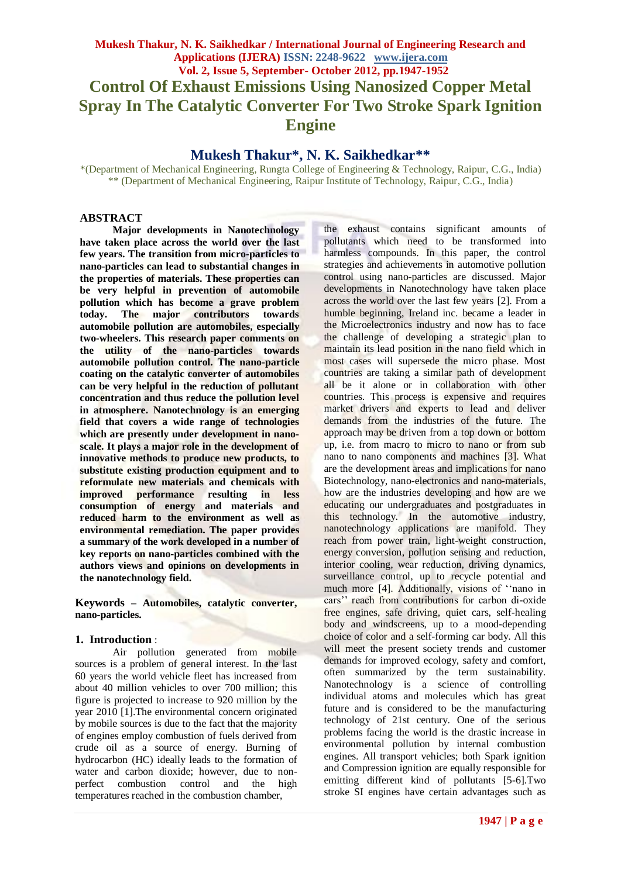# **Mukesh Thakur\*, N. K. Saikhedkar\*\***

\*(Department of Mechanical Engineering, Rungta College of Engineering & Technology, Raipur, C.G., India) \*\* (Department of Mechanical Engineering, Raipur Institute of Technology, Raipur, C.G., India)

# **ABSTRACT**

**Major developments in Nanotechnology have taken place across the world over the last few years. The transition from micro-particles to nano-particles can lead to substantial changes in the properties of materials. These properties can be very helpful in prevention of automobile pollution which has become a grave problem today. The major contributors towards automobile pollution are automobiles, especially two-wheelers. This research paper comments on the utility of the nano-particles towards automobile pollution control. The nano-particle coating on the catalytic converter of automobiles can be very helpful in the reduction of pollutant concentration and thus reduce the pollution level in atmosphere. Nanotechnology is an emerging field that covers a wide range of technologies which are presently under development in nanoscale. It plays a major role in the development of innovative methods to produce new products, to substitute existing production equipment and to reformulate new materials and chemicals with improved performance resulting in less consumption of energy and materials and reduced harm to the environment as well as environmental remediation. The paper provides a summary of the work developed in a number of key reports on nano-particles combined with the authors views and opinions on developments in the nanotechnology field.**

**Keywords – Automobiles, catalytic converter, nano-particles.**

### **1. Introduction** :

Air pollution generated from mobile sources is a problem of general interest. In the last 60 years the world vehicle fleet has increased from about 40 million vehicles to over 700 million; this figure is projected to increase to 920 million by the year 2010 [1].The environmental concern originated by mobile sources is due to the fact that the majority of engines employ combustion of fuels derived from crude oil as a source of energy. Burning of hydrocarbon (HC) ideally leads to the formation of water and carbon dioxide; however, due to nonperfect combustion control and the high temperatures reached in the combustion chamber,

the exhaust contains significant amounts of pollutants which need to be transformed into harmless compounds. In this paper, the control strategies and achievements in automotive pollution control using nano-particles are discussed. Major developments in Nanotechnology have taken place across the world over the last few years [2]. From a humble beginning, Ireland inc. became a leader in the Microelectronics industry and now has to face the challenge of developing a strategic plan to maintain its lead position in the nano field which in most cases will supersede the micro phase. Most countries are taking a similar path of development all be it alone or in collaboration with other countries. This process is expensive and requires market drivers and experts to lead and deliver demands from the industries of the future. The approach may be driven from a top down or bottom up, i.e. from macro to micro to nano or from sub nano to nano components and machines [3]. What are the development areas and implications for nano Biotechnology, nano-electronics and nano-materials, how are the industries developing and how are we educating our undergraduates and postgraduates in this technology. In the automotive industry, nanotechnology applications are manifold. They reach from power train, light-weight construction, energy conversion, pollution sensing and reduction, interior cooling, wear reduction, driving dynamics, surveillance control, up to recycle potential and much more [4]. Additionally, visions of ''nano in cars'' reach from contributions for carbon di-oxide free engines, safe driving, quiet cars, self-healing body and windscreens, up to a mood-depending choice of color and a self-forming car body. All this will meet the present society trends and customer demands for improved ecology, safety and comfort, often summarized by the term sustainability. Nanotechnology is a science of controlling individual atoms and molecules which has great future and is considered to be the manufacturing technology of 21st century. One of the serious problems facing the world is the drastic increase in environmental pollution by internal combustion engines. All transport vehicles; both Spark ignition and Compression ignition are equally responsible for emitting different kind of pollutants [5-6].Two stroke SI engines have certain advantages such as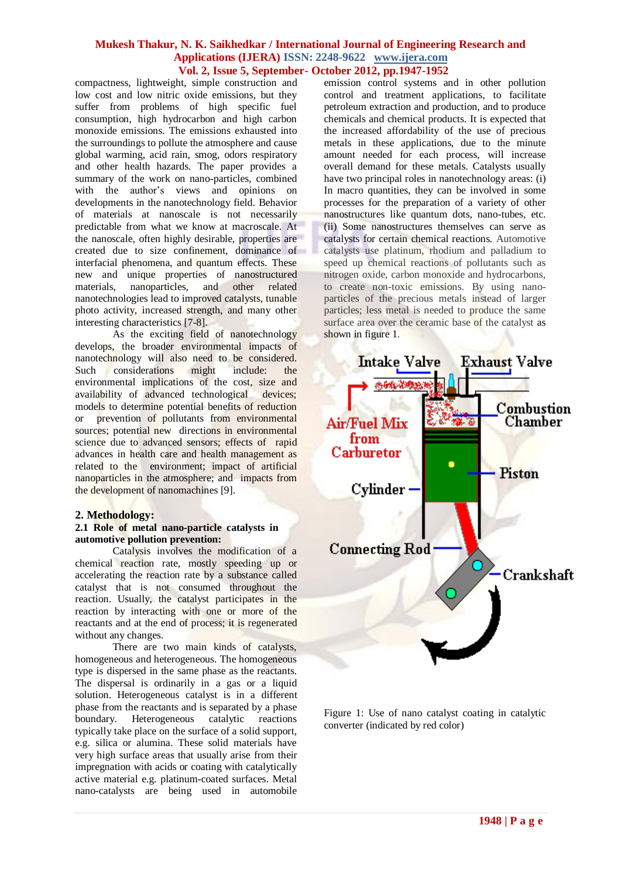compactness, lightweight, simple construction and low cost and low nitric oxide emissions, but they suffer from problems of high specific fuel consumption, high hydrocarbon and high carbon monoxide emissions. The emissions exhausted into the surroundings to pollute the atmosphere and cause global warming, acid rain, smog, odors respiratory and other health hazards. The paper provides a summary of the work on nano-particles, combined with the author's views and opinions on developments in the nanotechnology field. Behavior of materials at nanoscale is not necessarily predictable from what we know at macroscale. At the nanoscale, often highly desirable, properties are created due to size confinement, dominance of interfacial phenomena, and quantum effects. These new and unique properties of nanostructured materials, nanoparticles, and other related nanotechnologies lead to improved catalysts, tunable photo activity, increased strength, and many other interesting characteristics [7-8].

As the exciting field of nanotechnology develops, the broader environmental impacts of nanotechnology will also need to be considered.<br>Such considerations might include: the Such considerations might include: the environmental implications of the cost, size and availability of advanced technological devices; models to determine potential benefits of reduction or prevention of pollutants from environmental sources; potential new directions in environmental science due to advanced sensors; effects of rapid advances in health care and health management as related to the environment; impact of artificial nanoparticles in the atmosphere; and impacts from the development of nanomachines [9].

### **2. Methodology:**

### **2.1 Role of metal nano-particle catalysts in automotive pollution prevention:**

Catalysis involves the modification of a chemical reaction rate, mostly speeding up or accelerating the reaction rate by a substance called catalyst that is not consumed throughout the reaction. Usually, the catalyst participates in the reaction by interacting with one or more of the reactants and at the end of process; it is regenerated without any changes.

There are two main kinds of catalysts, homogeneous and heterogeneous. The homogeneous type is dispersed in the same phase as the reactants. The dispersal is ordinarily in a gas or a liquid solution. Heterogeneous catalyst is in a different phase from the reactants and is separated by a phase boundary. Heterogeneous catalytic reactions typically take place on the surface of a solid support, e.g. silica or alumina. These solid materials have very high surface areas that usually arise from their impregnation with acids or coating with catalytically active material e.g. platinum-coated surfaces. Metal nano-catalysts are being used in automobile

emission control systems and in other pollution control and treatment applications, to facilitate petroleum extraction and production, and to produce chemicals and chemical products. It is expected that the increased affordability of the use of precious metals in these applications, due to the minute amount needed for each process, will increase overall demand for these metals. Catalysts usually have two principal roles in nanotechnology areas: (i) In macro quantities, they can be involved in some processes for the preparation of a variety of other nanostructures like quantum dots, nano-tubes, etc. (ii) Some nanostructures themselves can serve as catalysts for certain chemical reactions. Automotive catalysts use platinum, rhodium and palladium to speed up chemical reactions of pollutants such as nitrogen oxide, carbon monoxide and hydrocarbons, to create non-toxic emissions. By using nanoparticles of the precious metals instead of larger particles; less metal is needed to produce the same surface area over the ceramic base of the catalyst as shown in figure 1.



Figure 1: Use of nano catalyst coating in catalytic converter (indicated by red color)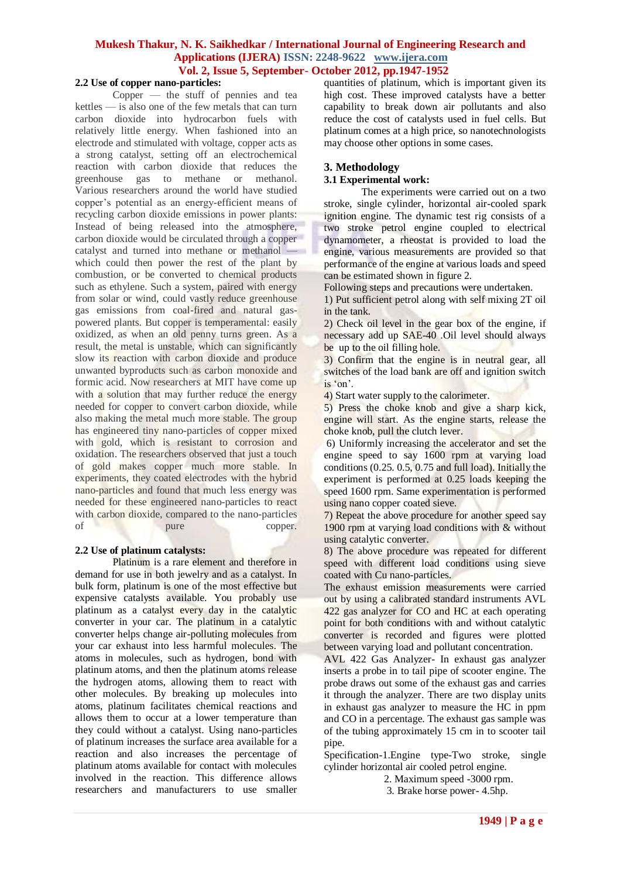# **2.2 Use of copper nano-particles:**

Copper — the stuff of pennies and tea kettles — is also one of the few metals that can turn carbon dioxide into hydrocarbon fuels with relatively little energy. When fashioned into an electrode and stimulated with voltage, copper acts as a strong catalyst, setting off an electrochemical reaction with carbon dioxide that reduces the greenhouse gas to methane or methanol. Various researchers around the world have studied copper's potential as an energy-efficient means of recycling carbon dioxide emissions in power plants: Instead of being released into the atmosphere, carbon dioxide would be circulated through a copper catalyst and turned into methane or methanol which could then power the rest of the plant by combustion, or be converted to chemical products such as ethylene. Such a system, paired with energy from solar or wind, could vastly reduce greenhouse gas emissions from coal-fired and natural gaspowered plants. But copper is temperamental: easily oxidized, as when an old penny turns green. As a result, the metal is unstable, which can significantly slow its reaction with carbon dioxide and produce unwanted byproducts such as carbon monoxide and formic acid. Now researchers at MIT have come up with a solution that may further reduce the energy needed for copper to convert carbon dioxide, while also making the metal much more stable. The group has engineered tiny nano-particles of copper mixed with gold, which is resistant to corrosion and oxidation. The researchers observed that just a touch of gold makes copper much more stable. In experiments, they coated electrodes with the hybrid nano-particles and found that much less energy was needed for these engineered nano-particles to react with carbon dioxide, compared to the nano-particles of pure copper.

#### **2.2 Use of platinum catalysts:**

Platinum is a rare element and therefore in demand for use in both jewelry and as a catalyst. In bulk form, platinum is one of the most effective but expensive catalysts available. You probably use platinum as a catalyst every day in the catalytic converter in your car. The platinum in a catalytic converter helps change air-polluting molecules from your car exhaust into less harmful molecules. The atoms in molecules, such as hydrogen, bond with platinum atoms, and then the platinum atoms release the hydrogen atoms, allowing them to react with other molecules. By breaking up molecules into atoms, platinum facilitates chemical reactions and allows them to occur at a lower temperature than they could without a catalyst. Using nano-particles of platinum increases the surface area available for a reaction and also increases the percentage of platinum atoms available for contact with molecules involved in the reaction. This difference allows researchers and manufacturers to use smaller

quantities of platinum, which is important given its high cost. These improved catalysts have a better capability to break down air pollutants and also reduce the cost of catalysts used in fuel cells. But platinum comes at a high price, so nanotechnologists may choose other options in some cases.

# **3. Methodology**

### **3.1 Experimental work:**

The experiments were carried out on a two stroke, single cylinder, horizontal air-cooled spark ignition engine. The dynamic test rig consists of a two stroke petrol engine coupled to electrical dynamometer, a rheostat is provided to load the engine, various measurements are provided so that performance of the engine at various loads and speed can be estimated shown in figure 2.

Following steps and precautions were undertaken.

1) Put sufficient petrol along with self mixing 2T oil in the tank.

2) Check oil level in the gear box of the engine, if necessary add up SAE-40 .Oil level should always be up to the oil filling hole.

3) Confirm that the engine is in neutral gear, all switches of the load bank are off and ignition switch is 'on'.

4) Start water supply to the calorimeter.

5) Press the choke knob and give a sharp kick, engine will start. As the engine starts, release the choke knob, pull the clutch lever.

6) Uniformly increasing the accelerator and set the engine speed to say 1600 rpm at varying load conditions (0.25. 0.5, 0.75 and full load). Initially the experiment is performed at 0.25 loads keeping the speed 1600 rpm. Same experimentation is performed using nano copper coated sieve.

7) Repeat the above procedure for another speed say 1900 rpm at varying load conditions with & without using catalytic converter.

8) The above procedure was repeated for different speed with different load conditions using sieve coated with Cu nano-particles.

The exhaust emission measurements were carried out by using a calibrated standard instruments AVL 422 gas analyzer for CO and HC at each operating point for both conditions with and without catalytic converter is recorded and figures were plotted between varying load and pollutant concentration.

AVL 422 Gas Analyzer- In exhaust gas analyzer inserts a probe in to tail pipe of scooter engine. The probe draws out some of the exhaust gas and carries it through the analyzer. There are two display units in exhaust gas analyzer to measure the HC in ppm and CO in a percentage. The exhaust gas sample was of the tubing approximately 15 cm in to scooter tail pipe.

Specification-1.Engine type-Two stroke, single cylinder horizontal air cooled petrol engine.

2. Maximum speed -3000 rpm.

3. Brake horse power- 4.5hp.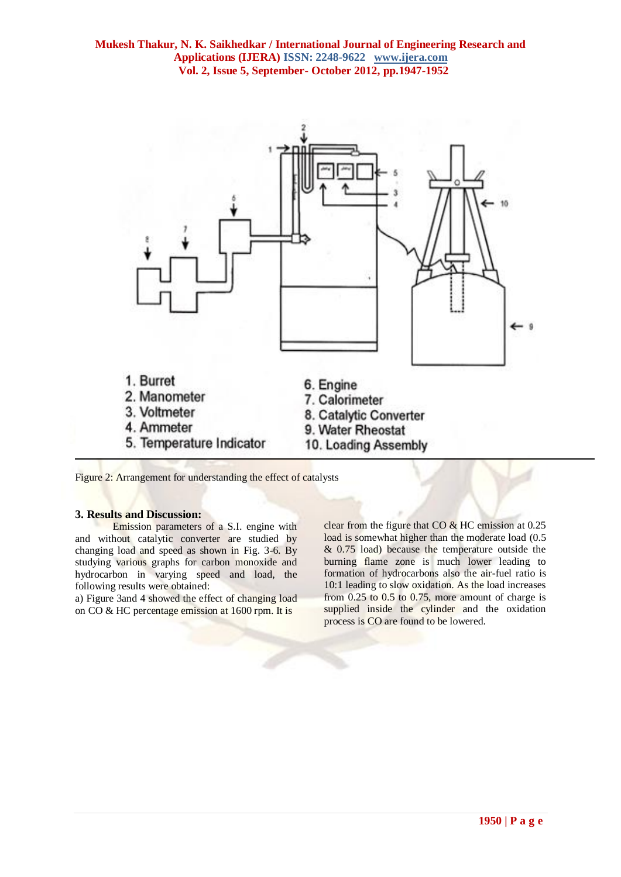



#### **3. Results and Discussion:**

Emission parameters of a S.I. engine with and without catalytic converter are studied by changing load and speed as shown in Fig. 3-6. By studying various graphs for carbon monoxide and hydrocarbon in varying speed and load, the following results were obtained:

a) Figure 3and 4 showed the effect of changing load on CO & HC percentage emission at 1600 rpm. It is

clear from the figure that CO  $\&$  HC emission at 0.25 load is somewhat higher than the moderate load  $(0.5)$ & 0.75 load) because the temperature outside the burning flame zone is much lower leading to formation of hydrocarbons also the air-fuel ratio is 10:1 leading to slow oxidation. As the load increases from 0.25 to 0.5 to 0.75, more amount of charge is supplied inside the cylinder and the oxidation process is CO are found to be lowered.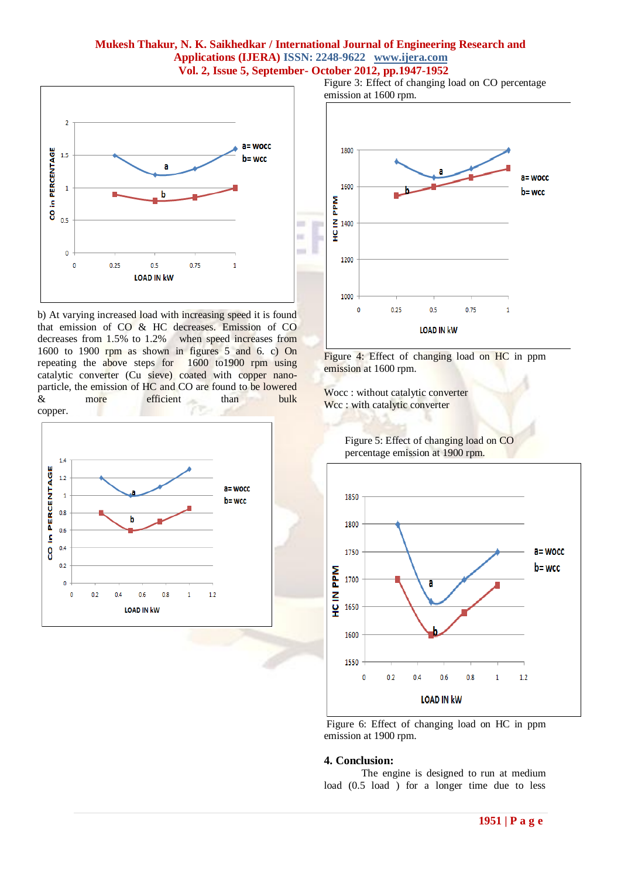

b) At varying increased load with increasing speed it is found that emission of  $CO$  & HC decreases. Emission of  $CO$ decreases from 1.5% to 1.2% when speed increases from 1600 to 1900 rpm as shown in figures 5 and 6. c) On repeating the above steps for 1600 to1900 rpm using catalytic converter (Cu sieve) coated with copper nanoparticle, the emission of HC and CO are found to be lowered  $\&$  more efficient than bulk copper.





Figure 4: Effect of changing load on HC in ppm emission at 1600 rpm.

Wocc : without catalytic converter Wcc : with catalytic converter





Figure 6: Effect of changing load on HC in ppm emission at 1900 rpm.

# **4. Conclusion:**

The engine is designed to run at medium load (0.5 load ) for a longer time due to less